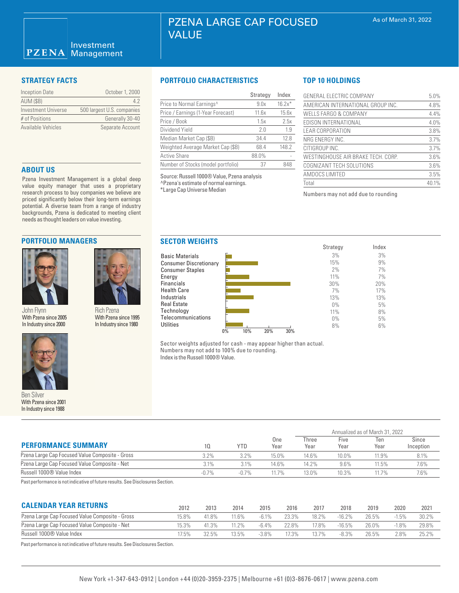### Investment  $PZENA$ Management

| Inception Date      | October 1, 2000            |
|---------------------|----------------------------|
| <b>AUM (\$B)</b>    | 42                         |
| Investment Universe | 500 largest U.S. companies |
| # of Positions      | Generally 30-40            |
| Available Vehicles  | Separate Account           |

# **ABOUT US**

Pzena Investment Management is a global deep value equity manager that uses a proprietary research process to buy companies we believe are priced significantly below their long-term earnings potential. A diverse team from a range of industry backgrounds, Pzena is dedicated to meeting client needs as thought leaders on value investing.

# **PORTFOLIO MANAGERS**



John Flynn With Pzena since 2005 In Industry since 2000



Ben Silver With Pzena since 2001 In Industry since 1988

# **STRATEGY FACTS PORTFOLIO CHARACTERISTICS**

|                                       | Strategy | Index    |
|---------------------------------------|----------|----------|
| Price to Normal Earnings <sup>^</sup> | 9.0x     | $16.2x*$ |
| Price / Earnings (1-Year Forecast)    | 11.6x    | 15.6x    |
| Price / Book                          | 1.5x     | 2.5x     |
| Dividend Yield                        | 20       | 1.9      |
| Median Market Cap (\$B)               | 34.4     | 12.8     |
| Weighted Average Market Cap (\$B)     | 68.4     | 148.2    |
| <b>Active Share</b>                   | 88.0%    |          |
| Number of Stocks (model portfolio)    | 37       | 848      |

Source: Russell 1000® Value, Pzena analysis ^Pzena's estimate of normal earnings. \*Large Cap Universe Median

Energy

**Utilities** 

# **TOP 10 HOLDINGS**

| GENERAL ELECTRIC COMPANY           | 5.0%  |
|------------------------------------|-------|
| AMERICAN INTERNATIONAL GROUP INC.  | 4.8%  |
| WELLS FARGO & COMPANY              | 4.4%  |
| EDISON INTERNATIONAL               | 4.0%  |
| <b>LEAR CORPORATION</b>            | 3.8%  |
| NRG ENERGY INC.                    | 3.7%  |
| CITIGROUP INC.                     | 3.7%  |
| WESTINGHOUSE AIR BRAKE TECH. CORP. | 3.6%  |
| COGNIZANT TECH SOLUTIONS           | 3.6%  |
| AMDOCS LIMITED                     | 3.5%  |
| Total                              | 40.1% |

Numbers may not add due to rounding



Sector weights adjusted for cash - may appear higher than actual. Numbers may not add to 100% due to rounding. Index is the Russell 1000® Value.

| <b>PERFORMANCE SUMMARY</b>                                                        |         |            |             | Annualized as of March 31, 2022 |              |             |                    |  |
|-----------------------------------------------------------------------------------|---------|------------|-------------|---------------------------------|--------------|-------------|--------------------|--|
|                                                                                   | 10      | <b>YTD</b> | One<br>Year | Three<br>Year                   | Five<br>Year | Ten<br>Year | Since<br>Inception |  |
| Pzena Large Cap Focused Value Composite - Gross                                   | 3.2%    | $3.2\%$    | 15.0%       | 14.6%                           | 10.0%        | 11.9%       | 8.1%               |  |
| Pzena Large Cap Focused Value Composite - Net                                     | 3.1%    | 3.1%       | 14.6%       | 14.2%                           | $9.6\%$      | 11.5%       | 7.6%               |  |
| Russell 1000® Value Index                                                         | $-0.7%$ | $-0.7%$    | 11.7%       | 13.0%                           | 10.3%        | 11.7%       | 7.6%               |  |
| Deska aufanna an an tamakhalta aithe aitheann na achan. Ona Diadachada a Ocaliana |         |            |             |                                 |              |             |                    |  |

Past performance is not indicative of future results. See Disclosures Section.

Rich Pzena With Pzena since 1995 In Industry since 1980

| <b>CALENDAR YEAR RETURNS</b>                    | 2012  | 2013  | 2014    | 2015     | 2016  | 2017  | 2018     | 2019  | 2020     | 202   |
|-------------------------------------------------|-------|-------|---------|----------|-------|-------|----------|-------|----------|-------|
| Pzena Large Cap Focused Value Composite - Gross | '5.8% | 41.8% | $1.6\%$ | $-6.1\%$ | 23.3% | 18.2% | $-16.2%$ | 26.5% | $-1.5\%$ | 30.2% |
| Pzena Large Cap Focused Value Composite - Net   | 15.3% | 41.3% | $12\%$  | $-6.4%$  | 22.8% | '7.8% | $-16.5%$ | 26.0% | $-1.8%$  | 29.8% |
| Russell 1000® Value Index                       | 7.5%  | 32.5% | 13.5%   | $-3.8%$  | 7.3%  | 13.7% | $-8.3\%$ | 26.5% | $2.8\%$  | 25.2% |

Past performance is not indicative of future results. See Disclosures Section.